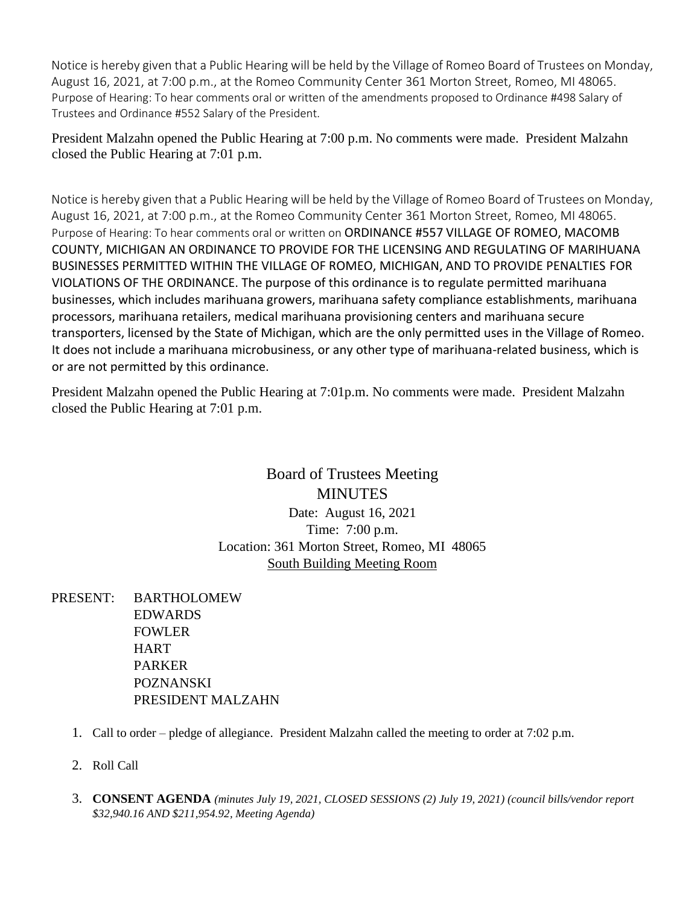Notice is hereby given that a Public Hearing will be held by the Village of Romeo Board of Trustees on Monday, August 16, 2021, at 7:00 p.m., at the Romeo Community Center 361 Morton Street, Romeo, MI 48065. Purpose of Hearing: To hear comments oral or written of the amendments proposed to Ordinance #498 Salary of Trustees and Ordinance #552 Salary of the President.

President Malzahn opened the Public Hearing at 7:00 p.m. No comments were made. President Malzahn closed the Public Hearing at 7:01 p.m.

Notice is hereby given that a Public Hearing will be held by the Village of Romeo Board of Trustees on Monday, August 16, 2021, at 7:00 p.m., at the Romeo Community Center 361 Morton Street, Romeo, MI 48065. Purpose of Hearing: To hear comments oral or written on ORDINANCE #557 VILLAGE OF ROMEO, MACOMB COUNTY, MICHIGAN AN ORDINANCE TO PROVIDE FOR THE LICENSING AND REGULATING OF MARIHUANA BUSINESSES PERMITTED WITHIN THE VILLAGE OF ROMEO, MICHIGAN, AND TO PROVIDE PENALTIES FOR VIOLATIONS OF THE ORDINANCE. The purpose of this ordinance is to regulate permitted marihuana businesses, which includes marihuana growers, marihuana safety compliance establishments, marihuana processors, marihuana retailers, medical marihuana provisioning centers and marihuana secure transporters, licensed by the State of Michigan, which are the only permitted uses in the Village of Romeo. It does not include a marihuana microbusiness, or any other type of marihuana-related business, which is or are not permitted by this ordinance.

President Malzahn opened the Public Hearing at 7:01p.m. No comments were made. President Malzahn closed the Public Hearing at 7:01 p.m.

# Board of Trustees Meeting MINUTES Date: August 16, 2021 Time: 7:00 p.m. Location: 361 Morton Street, Romeo, MI 48065 South Building Meeting Room

- PRESENT: BARTHOLOMEW EDWARDS FOWLER HART PARKER POZNANSKI PRESIDENT MALZAHN
	- 1. Call to order pledge of allegiance. President Malzahn called the meeting to order at 7:02 p.m.
	- 2. Roll Call
	- 3. **CONSENT AGENDA** *(minutes July 19, 2021, CLOSED SESSIONS (2) July 19, 2021) (council bills/vendor report \$32,940.16 AND \$211,954.92, Meeting Agenda)*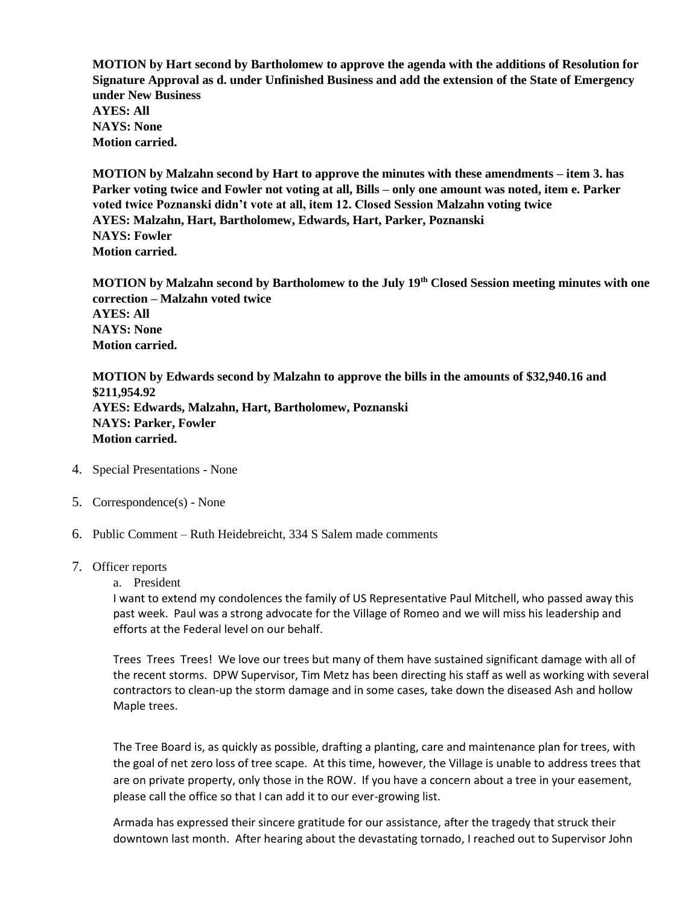**MOTION by Hart second by Bartholomew to approve the agenda with the additions of Resolution for Signature Approval as d. under Unfinished Business and add the extension of the State of Emergency under New Business AYES: All NAYS: None Motion carried.** 

**MOTION by Malzahn second by Hart to approve the minutes with these amendments – item 3. has Parker voting twice and Fowler not voting at all, Bills – only one amount was noted, item e. Parker voted twice Poznanski didn't vote at all, item 12. Closed Session Malzahn voting twice AYES: Malzahn, Hart, Bartholomew, Edwards, Hart, Parker, Poznanski NAYS: Fowler Motion carried.** 

**MOTION by Malzahn second by Bartholomew to the July 19th Closed Session meeting minutes with one correction – Malzahn voted twice AYES: All NAYS: None Motion carried.** 

**MOTION by Edwards second by Malzahn to approve the bills in the amounts of \$32,940.16 and \$211,954.92 AYES: Edwards, Malzahn, Hart, Bartholomew, Poznanski NAYS: Parker, Fowler Motion carried.** 

- 4. Special Presentations None
- 5. Correspondence(s) None
- 6. Public Comment Ruth Heidebreicht, 334 S Salem made comments
- 7. Officer reports
	- a. President

I want to extend my condolences the family of US Representative Paul Mitchell, who passed away this past week. Paul was a strong advocate for the Village of Romeo and we will miss his leadership and efforts at the Federal level on our behalf.

Trees Trees Trees! We love our trees but many of them have sustained significant damage with all of the recent storms. DPW Supervisor, Tim Metz has been directing his staff as well as working with several contractors to clean-up the storm damage and in some cases, take down the diseased Ash and hollow Maple trees.

The Tree Board is, as quickly as possible, drafting a planting, care and maintenance plan for trees, with the goal of net zero loss of tree scape. At this time, however, the Village is unable to address trees that are on private property, only those in the ROW. If you have a concern about a tree in your easement, please call the office so that I can add it to our ever-growing list.

Armada has expressed their sincere gratitude for our assistance, after the tragedy that struck their downtown last month. After hearing about the devastating tornado, I reached out to Supervisor John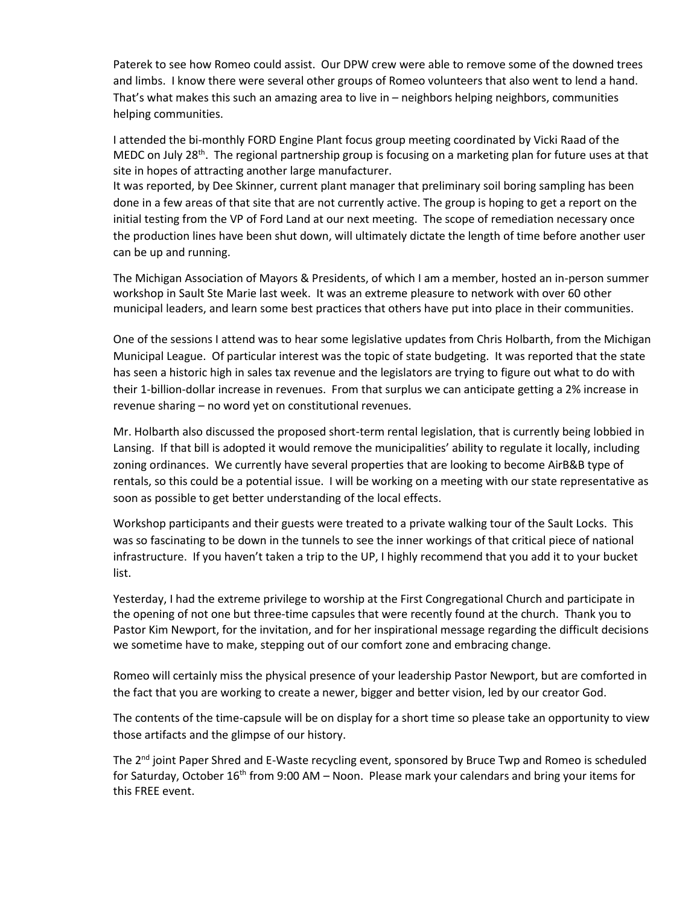Paterek to see how Romeo could assist. Our DPW crew were able to remove some of the downed trees and limbs. I know there were several other groups of Romeo volunteers that also went to lend a hand. That's what makes this such an amazing area to live in – neighbors helping neighbors, communities helping communities.

I attended the bi-monthly FORD Engine Plant focus group meeting coordinated by Vicki Raad of the MEDC on July 28<sup>th</sup>. The regional partnership group is focusing on a marketing plan for future uses at that site in hopes of attracting another large manufacturer.

It was reported, by Dee Skinner, current plant manager that preliminary soil boring sampling has been done in a few areas of that site that are not currently active. The group is hoping to get a report on the initial testing from the VP of Ford Land at our next meeting. The scope of remediation necessary once the production lines have been shut down, will ultimately dictate the length of time before another user can be up and running.

The Michigan Association of Mayors & Presidents, of which I am a member, hosted an in-person summer workshop in Sault Ste Marie last week. It was an extreme pleasure to network with over 60 other municipal leaders, and learn some best practices that others have put into place in their communities.

One of the sessions I attend was to hear some legislative updates from Chris Holbarth, from the Michigan Municipal League. Of particular interest was the topic of state budgeting. It was reported that the state has seen a historic high in sales tax revenue and the legislators are trying to figure out what to do with their 1-billion-dollar increase in revenues. From that surplus we can anticipate getting a 2% increase in revenue sharing – no word yet on constitutional revenues.

Mr. Holbarth also discussed the proposed short-term rental legislation, that is currently being lobbied in Lansing. If that bill is adopted it would remove the municipalities' ability to regulate it locally, including zoning ordinances. We currently have several properties that are looking to become AirB&B type of rentals, so this could be a potential issue. I will be working on a meeting with our state representative as soon as possible to get better understanding of the local effects.

Workshop participants and their guests were treated to a private walking tour of the Sault Locks. This was so fascinating to be down in the tunnels to see the inner workings of that critical piece of national infrastructure. If you haven't taken a trip to the UP, I highly recommend that you add it to your bucket list.

Yesterday, I had the extreme privilege to worship at the First Congregational Church and participate in the opening of not one but three-time capsules that were recently found at the church. Thank you to Pastor Kim Newport, for the invitation, and for her inspirational message regarding the difficult decisions we sometime have to make, stepping out of our comfort zone and embracing change.

Romeo will certainly miss the physical presence of your leadership Pastor Newport, but are comforted in the fact that you are working to create a newer, bigger and better vision, led by our creator God.

The contents of the time-capsule will be on display for a short time so please take an opportunity to view those artifacts and the glimpse of our history.

The 2<sup>nd</sup> joint Paper Shred and E-Waste recycling event, sponsored by Bruce Twp and Romeo is scheduled for Saturday, October  $16<sup>th</sup>$  from 9:00 AM – Noon. Please mark your calendars and bring your items for this FREE event.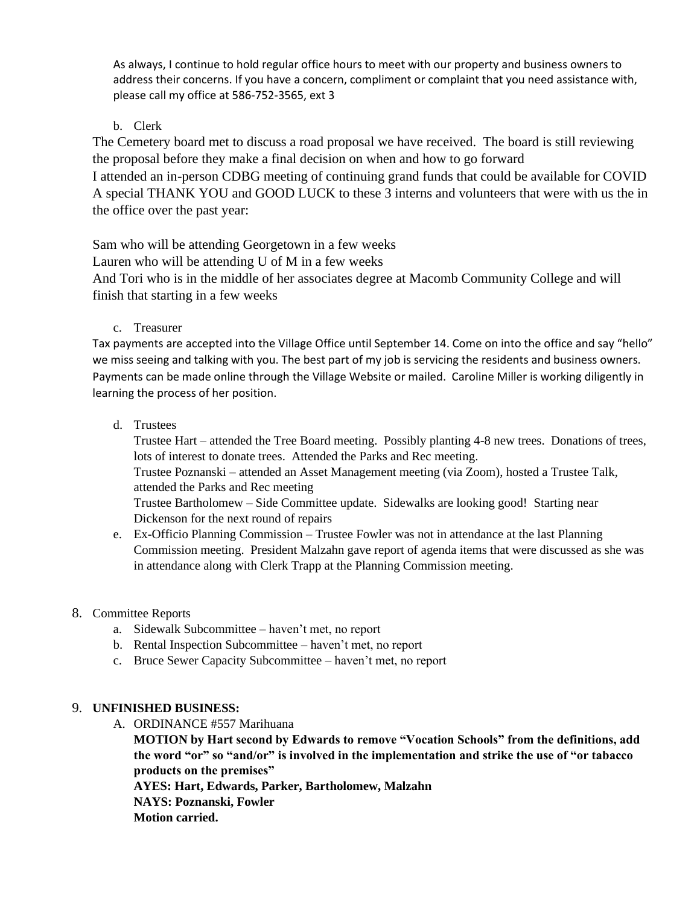As always, I continue to hold regular office hours to meet with our property and business owners to address their concerns. If you have a concern, compliment or complaint that you need assistance with, please call my office at 586-752-3565, ext 3

## b. Clerk

The Cemetery board met to discuss a road proposal we have received. The board is still reviewing the proposal before they make a final decision on when and how to go forward

I attended an in-person CDBG meeting of continuing grand funds that could be available for COVID A special THANK YOU and GOOD LUCK to these 3 interns and volunteers that were with us the in the office over the past year:

Sam who will be attending Georgetown in a few weeks

Lauren who will be attending U of M in a few weeks

And Tori who is in the middle of her associates degree at Macomb Community College and will finish that starting in a few weeks

### c. Treasurer

Tax payments are accepted into the Village Office until September 14. Come on into the office and say "hello" we miss seeing and talking with you. The best part of my job is servicing the residents and business owners. Payments can be made online through the Village Website or mailed. Caroline Miller is working diligently in learning the process of her position.

d. Trustees

Trustee Hart – attended the Tree Board meeting. Possibly planting 4-8 new trees. Donations of trees, lots of interest to donate trees. Attended the Parks and Rec meeting.

Trustee Poznanski – attended an Asset Management meeting (via Zoom), hosted a Trustee Talk, attended the Parks and Rec meeting

Trustee Bartholomew – Side Committee update. Sidewalks are looking good! Starting near Dickenson for the next round of repairs

e. Ex-Officio Planning Commission – Trustee Fowler was not in attendance at the last Planning Commission meeting. President Malzahn gave report of agenda items that were discussed as she was in attendance along with Clerk Trapp at the Planning Commission meeting.

### 8. Committee Reports

- a. Sidewalk Subcommittee haven't met, no report
- b. Rental Inspection Subcommittee haven't met, no report
- c. Bruce Sewer Capacity Subcommittee haven't met, no report

### 9. **UNFINISHED BUSINESS:**

A. ORDINANCE #557 Marihuana

**MOTION by Hart second by Edwards to remove "Vocation Schools" from the definitions, add the word "or" so "and/or" is involved in the implementation and strike the use of "or tabacco products on the premises"**

**AYES: Hart, Edwards, Parker, Bartholomew, Malzahn**

**NAYS: Poznanski, Fowler**

**Motion carried.**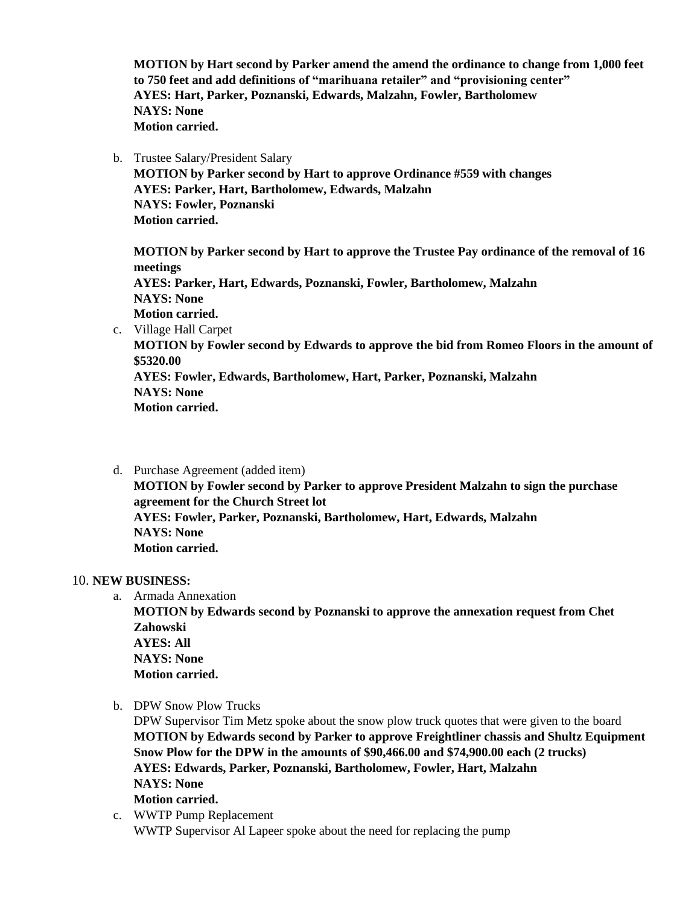**MOTION by Hart second by Parker amend the amend the ordinance to change from 1,000 feet to 750 feet and add definitions of "marihuana retailer" and "provisioning center" AYES: Hart, Parker, Poznanski, Edwards, Malzahn, Fowler, Bartholomew NAYS: None Motion carried.** 

b. Trustee Salary/President Salary

**MOTION by Parker second by Hart to approve Ordinance #559 with changes AYES: Parker, Hart, Bartholomew, Edwards, Malzahn NAYS: Fowler, Poznanski Motion carried.** 

**MOTION by Parker second by Hart to approve the Trustee Pay ordinance of the removal of 16 meetings AYES: Parker, Hart, Edwards, Poznanski, Fowler, Bartholomew, Malzahn NAYS: None Motion carried.** 

c. Village Hall Carpet

**MOTION by Fowler second by Edwards to approve the bid from Romeo Floors in the amount of \$5320.00**

**AYES: Fowler, Edwards, Bartholomew, Hart, Parker, Poznanski, Malzahn NAYS: None Motion carried.** 

- 
- d. Purchase Agreement (added item) **MOTION by Fowler second by Parker to approve President Malzahn to sign the purchase agreement for the Church Street lot AYES: Fowler, Parker, Poznanski, Bartholomew, Hart, Edwards, Malzahn NAYS: None Motion carried.**

#### 10. **NEW BUSINESS:**

a. Armada Annexation

**MOTION by Edwards second by Poznanski to approve the annexation request from Chet Zahowski AYES: All NAYS: None Motion carried.** 

b. DPW Snow Plow Trucks

DPW Supervisor Tim Metz spoke about the snow plow truck quotes that were given to the board **MOTION by Edwards second by Parker to approve Freightliner chassis and Shultz Equipment Snow Plow for the DPW in the amounts of \$90,466.00 and \$74,900.00 each (2 trucks) AYES: Edwards, Parker, Poznanski, Bartholomew, Fowler, Hart, Malzahn NAYS: None Motion carried.** 

c. WWTP Pump Replacement WWTP Supervisor Al Lapeer spoke about the need for replacing the pump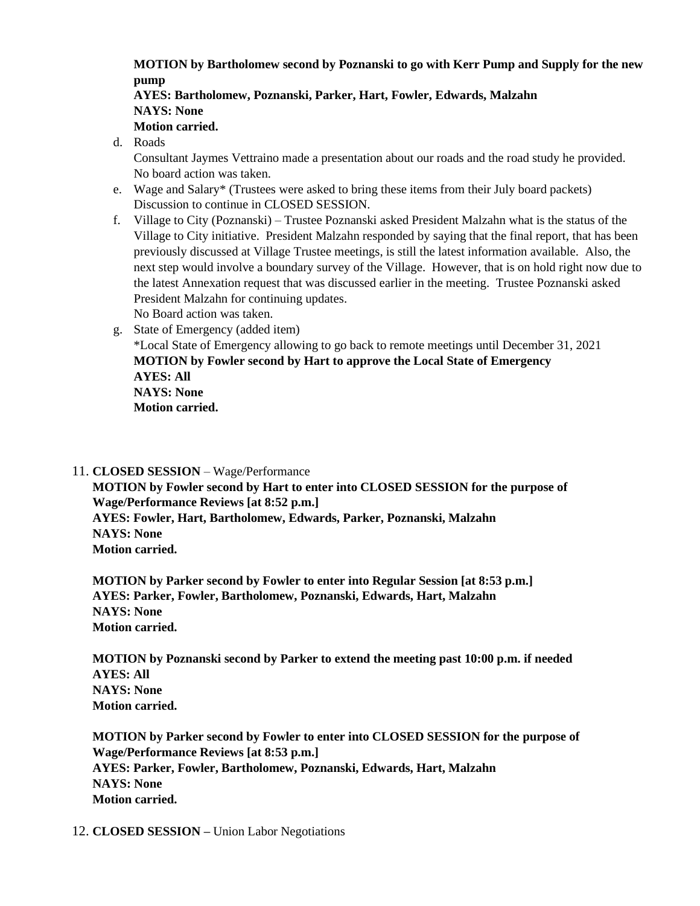**MOTION by Bartholomew second by Poznanski to go with Kerr Pump and Supply for the new pump**

**AYES: Bartholomew, Poznanski, Parker, Hart, Fowler, Edwards, Malzahn NAYS: None Motion carried.** 

d. Roads

Consultant Jaymes Vettraino made a presentation about our roads and the road study he provided. No board action was taken.

- e. Wage and Salary\* (Trustees were asked to bring these items from their July board packets) Discussion to continue in CLOSED SESSION.
- f. Village to City (Poznanski) Trustee Poznanski asked President Malzahn what is the status of the Village to City initiative. President Malzahn responded by saying that the final report, that has been previously discussed at Village Trustee meetings, is still the latest information available. Also, the next step would involve a boundary survey of the Village. However, that is on hold right now due to the latest Annexation request that was discussed earlier in the meeting. Trustee Poznanski asked President Malzahn for continuing updates. No Board action was taken.
- g. State of Emergency (added item) \*Local State of Emergency allowing to go back to remote meetings until December 31, 2021 **MOTION by Fowler second by Hart to approve the Local State of Emergency AYES: All NAYS: None Motion carried.**
- 11. **CLOSED SESSION**  Wage/Performance

**MOTION by Fowler second by Hart to enter into CLOSED SESSION for the purpose of Wage/Performance Reviews [at 8:52 p.m.] AYES: Fowler, Hart, Bartholomew, Edwards, Parker, Poznanski, Malzahn NAYS: None Motion carried.** 

**MOTION by Parker second by Fowler to enter into Regular Session [at 8:53 p.m.] AYES: Parker, Fowler, Bartholomew, Poznanski, Edwards, Hart, Malzahn NAYS: None Motion carried.** 

**MOTION by Poznanski second by Parker to extend the meeting past 10:00 p.m. if needed AYES: All NAYS: None Motion carried.** 

**MOTION by Parker second by Fowler to enter into CLOSED SESSION for the purpose of Wage/Performance Reviews [at 8:53 p.m.] AYES: Parker, Fowler, Bartholomew, Poznanski, Edwards, Hart, Malzahn NAYS: None Motion carried.** 

12. **CLOSED SESSION –** Union Labor Negotiations